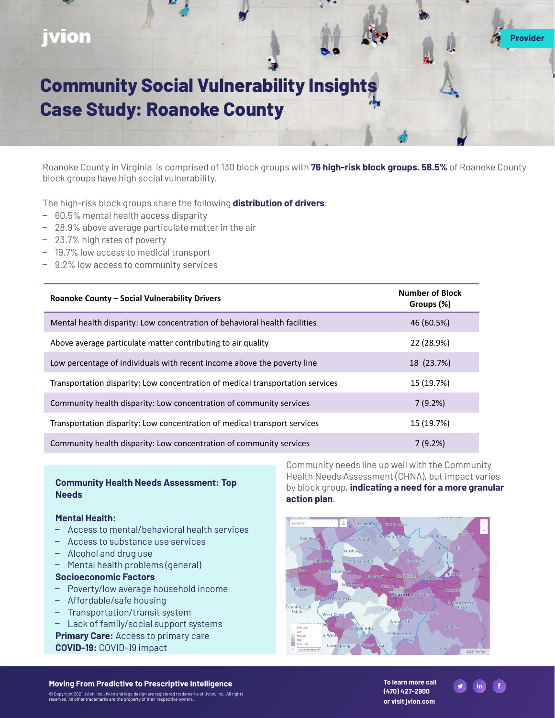## jvion

# **Community Social Vulnerability Insights Case Study: Roanoke County**

Roanoke County in Virginia is comprised of 130 block groups with **76 high-risk block groups. 58.5%** of Roanoke County block groups have high social vulnerability.

The high-risk block groups share the following **distribution of drivers**:

- − 60.5% mental health access disparity
- − 28.9% above average particulate matter in the air
- − 23.7% high rates of poverty
- − 19.7% low access to medical transport
- 9.2% low access to community services

| <b>Roanoke County - Social Vulnerability Drivers</b>                           | <b>Number of Block</b><br>Groups (%) |
|--------------------------------------------------------------------------------|--------------------------------------|
| Mental health disparity: Low concentration of behavioral health facilities     | 46 (60.5%)                           |
| Above average particulate matter contributing to air quality                   | 22 (28.9%)                           |
| Low percentage of individuals with recent income above the poverty line        | 18 (23.7%)                           |
| Transportation disparity: Low concentration of medical transportation services | 15 (19.7%)                           |
| Community health disparity: Low concentration of community services            | 7(9.2%)                              |
| Transportation disparity: Low concentration of medical transport services      | 15 (19.7%)                           |
| Community health disparity: Low concentration of community services            | 7(9.2%)                              |

**Community Health Needs Assessment: Top Needs**

#### **Mental Health:**

- − Access to mental/behavioral health services
- − Access to substance use services
- − Alcohol and drug use
- − Mental health problems (general)

#### **Socioeconomic Factors**

- − Poverty/low average household income
- − Affordable/safe housing
- − Transportation/transit system
- − Lack of family/social support systems

**Primary Care:** Access to primary care **COVID-19:** COVID-19 impact

Community needs line up well with the Community Health Needs Assessment (CHNA), but impact varies by block group, **indicating a need for a more granular action plan**.

**Provider**



**To learn more call (470) 427-2900 or visit jvion.com**